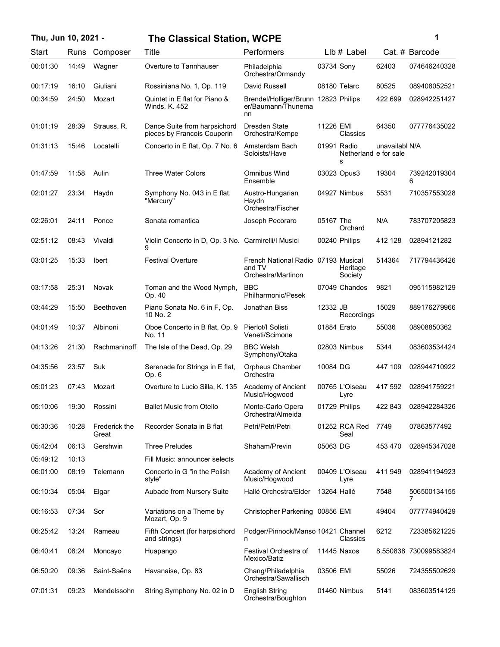| Thu, Jun 10, 2021 - |       |                        | <b>The Classical Station, WCPE</b>                          |                                                                     |             |                            |                | 1                     |
|---------------------|-------|------------------------|-------------------------------------------------------------|---------------------------------------------------------------------|-------------|----------------------------|----------------|-----------------------|
| Start               | Runs  | Composer               | Title                                                       | Performers                                                          |             | LIb # Label                |                | Cat. # Barcode        |
| 00:01:30            | 14:49 | Wagner                 | Overture to Tannhauser                                      | Philadelphia<br>Orchestra/Ormandy                                   | 03734 Sony  |                            | 62403          | 074646240328          |
| 00:17:19            | 16:10 | Giuliani               | Rossiniana No. 1, Op. 119                                   | David Russell                                                       |             | 08180 Telarc               | 80525          | 089408052521          |
| 00:34:59            | 24:50 | Mozart                 | Quintet in E flat for Piano &<br>Winds, K. 452              | Brendel/Holliger/Brunn 12823 Philips<br>er/Baumann/Thunema<br>nn    |             |                            | 422 699        | 028942251427          |
| 01:01:19            | 28:39 | Strauss, R.            | Dance Suite from harpsichord<br>pieces by Francois Couperin | Dresden State<br>Orchestra/Kempe                                    | 11226 EMI   | Classics                   | 64350          | 077776435022          |
| 01:31:13            | 15:46 | Locatelli              | Concerto in E flat, Op. 7 No. 6                             | Amsterdam Bach<br>Soloists/Have                                     | 01991 Radio | Netherland e for sale<br>s | unavailabl N/A |                       |
| 01:47:59            | 11:58 | Aulin                  | <b>Three Water Colors</b>                                   | Omnibus Wind<br>Ensemble                                            |             | 03023 Opus3                | 19304          | 739242019304<br>6     |
| 02:01:27            | 23:34 | Haydn                  | Symphony No. 043 in E flat,<br>"Mercury"                    | Austro-Hungarian<br>Haydn<br>Orchestra/Fischer                      |             | 04927 Nimbus               | 5531           | 710357553028          |
| 02:26:01            | 24:11 | Ponce                  | Sonata romantica                                            | Joseph Pecoraro                                                     | 05167 The   | Orchard                    | N/A            | 783707205823          |
| 02:51:12            | 08:43 | Vivaldi                | Violin Concerto in D, Op. 3 No. Carmirelli/l Musici<br>9    |                                                                     |             | 00240 Philips              | 412 128        | 02894121282           |
| 03:01:25            | 15:33 | <b>Ibert</b>           | <b>Festival Overture</b>                                    | French National Radio 07193 Musical<br>and TV<br>Orchestra/Martinon |             | Heritage<br>Society        | 514364         | 717794436426          |
| 03:17:58            | 25:31 | Novak                  | Toman and the Wood Nymph,<br>Op. 40                         | <b>BBC</b><br>Philharmonic/Pesek                                    |             | 07049 Chandos              | 9821           | 095115982129          |
| 03:44:29            | 15:50 | Beethoven              | Piano Sonata No. 6 in F, Op.<br>10 No. 2                    | Jonathan Biss                                                       | 12332 JB    | Recordings                 | 15029          | 889176279966          |
| 04:01:49            | 10:37 | Albinoni               | Oboe Concerto in B flat, Op. 9<br>No. 11                    | Pierlot/I Solisti<br>Veneti/Scimone                                 | 01884 Erato |                            | 55036          | 08908850362           |
| 04:13:26            | 21:30 | Rachmaninoff           | The Isle of the Dead, Op. 29                                | <b>BBC Welsh</b><br>Symphony/Otaka                                  |             | 02803 Nimbus               | 5344           | 083603534424          |
| 04:35:56            | 23:57 | Suk                    | Serenade for Strings in E flat,<br>Op. 6                    | Orpheus Chamber<br>Orchestra                                        | 10084 DG    |                            | 447 109        | 028944710922          |
| 05:01:23            | 07:43 | Mozart                 | Overture to Lucio Silla, K. 135                             | Academy of Ancient<br>Music/Hogwood                                 |             | 00765 L'Oiseau<br>Lyre     | 417 592        | 028941759221          |
| 05:10:06            | 19:30 | Rossini                | <b>Ballet Music from Otello</b>                             | Monte-Carlo Opera<br>Orchestra/Almeida                              |             | 01729 Philips              | 422 843        | 028942284326          |
| 05:30:36            | 10:28 | Frederick the<br>Great | Recorder Sonata in B flat                                   | Petri/Petri/Petri                                                   |             | 01252 RCA Red<br>Seal      | 7749           | 07863577492           |
| 05:42:04            | 06:13 | Gershwin               | <b>Three Preludes</b>                                       | Shaham/Previn                                                       | 05063 DG    |                            | 453 470        | 028945347028          |
| 05:49:12            | 10:13 |                        | Fill Music: announcer selects                               |                                                                     |             |                            |                |                       |
| 06:01:00            | 08:19 | Telemann               | Concerto in G "in the Polish"<br>style"                     | Academy of Ancient<br>Music/Hogwood                                 |             | 00409 L'Oiseau<br>Lyre     | 411 949        | 028941194923          |
| 06:10:34            | 05:04 | Elgar                  | Aubade from Nursery Suite                                   | Hallé Orchestra/Elder                                               | 13264 Hallé |                            | 7548           | 506500134155<br>7     |
| 06:16:53            | 07:34 | Sor                    | Variations on a Theme by<br>Mozart, Op. 9                   | Christopher Parkening 00856 EMI                                     |             |                            | 49404          | 077774940429          |
| 06:25:42            | 13:24 | Rameau                 | Fifth Concert (for harpsichord<br>and strings)              | Podger/Pinnock/Manso 10421 Channel<br>n                             |             | Classics                   | 6212           | 723385621225          |
| 06:40:41            | 08:24 | Moncayo                | Huapango                                                    | Festival Orchestra of<br>Mexico/Batiz                               |             | 11445 Naxos                |                | 8.550838 730099583824 |
| 06:50:20            | 09:36 | Saint-Saëns            | Havanaise, Op. 83                                           | Chang/Philadelphia<br>Orchestra/Sawallisch                          | 03506 EMI   |                            | 55026          | 724355502629          |
| 07:01:31            | 09:23 | Mendelssohn            | String Symphony No. 02 in D                                 | <b>English String</b><br>Orchestra/Boughton                         |             | 01460 Nimbus               | 5141           | 083603514129          |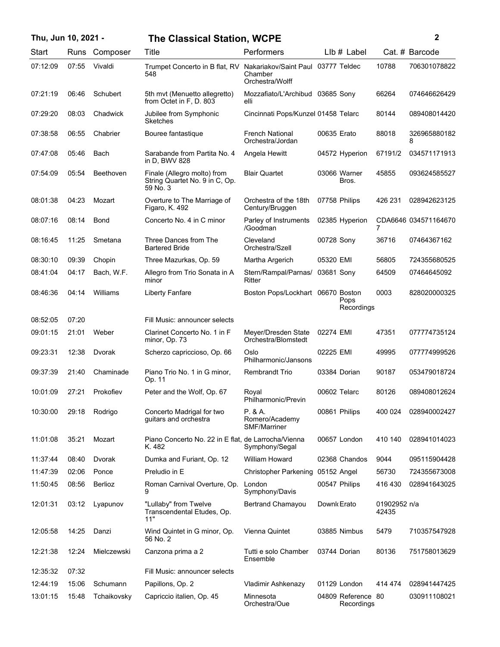| Thu, Jun 10, 2021 - |       |             | <b>The Classical Station, WCPE</b>                                        |                                                  |             |                                  |                       | $\mathbf{2}$         |
|---------------------|-------|-------------|---------------------------------------------------------------------------|--------------------------------------------------|-------------|----------------------------------|-----------------------|----------------------|
| Start               | Runs  | Composer    | Title                                                                     | Performers                                       |             | $Llb#$ Label                     |                       | Cat. # Barcode       |
| 07:12:09            | 07:55 | Vivaldi     | Trumpet Concerto in B flat, RV Nakariakov/Saint Paul 03777 Teldec<br>548  | Chamber<br>Orchestra/Wolff                       |             |                                  | 10788                 | 706301078822         |
| 07:21:19            | 06:46 | Schubert    | 5th mvt (Menuetto allegretto)<br>from Octet in F. D. 803                  | Mozzafiato/L'Archibud 03685 Sony<br>elli         |             |                                  | 66264                 | 074646626429         |
| 07:29:20            | 08:03 | Chadwick    | Jubilee from Symphonic<br><b>Sketches</b>                                 | Cincinnati Pops/Kunzel 01458 Telarc              |             |                                  | 80144                 | 089408014420         |
| 07:38:58            | 06:55 | Chabrier    | Bouree fantastique                                                        | <b>French National</b><br>Orchestra/Jordan       | 00635 Erato |                                  | 88018                 | 326965880182<br>8    |
| 07:47:08            | 05:46 | Bach        | Sarabande from Partita No. 4<br>in D, BWV 828                             | Angela Hewitt                                    |             | 04572 Hyperion                   | 67191/2               | 034571171913         |
| 07:54:09            | 05:54 | Beethoven   | Finale (Allegro molto) from<br>String Quartet No. 9 in C, Op.<br>59 No. 3 | <b>Blair Quartet</b>                             |             | 03066 Warner<br>Bros.            | 45855                 | 093624585527         |
| 08:01:38            | 04:23 | Mozart      | Overture to The Marriage of<br>Figaro, K. 492                             | Orchestra of the 18th<br>Century/Bruggen         |             | 07758 Philips                    | 426 231               | 028942623125         |
| 08:07:16            | 08:14 | Bond        | Concerto No. 4 in C minor                                                 | Parley of Instruments<br>/Goodman                |             | 02385 Hyperion                   | 7                     | CDA6646 034571164670 |
| 08:16:45            | 11:25 | Smetana     | Three Dances from The<br><b>Bartered Bride</b>                            | Cleveland<br>Orchestra/Szell                     | 00728 Sony  |                                  | 36716                 | 07464367162          |
| 08:30:10            | 09:39 | Chopin      | Three Mazurkas, Op. 59                                                    | Martha Argerich                                  | 05320 EMI   |                                  | 56805                 | 724355680525         |
| 08:41:04            | 04:17 | Bach, W.F.  | Allegro from Trio Sonata in A<br>minor                                    | Stern/Rampal/Parnas/<br>Ritter                   | 03681 Sony  |                                  | 64509                 | 07464645092          |
| 08:46:36            | 04:14 | Williams    | <b>Liberty Fanfare</b>                                                    | Boston Pops/Lockhart 06670 Boston                |             | Pops<br>Recordings               | 0003                  | 828020000325         |
| 08:52:05            | 07:20 |             | Fill Music: announcer selects                                             |                                                  |             |                                  |                       |                      |
| 09:01:15            | 21:01 | Weber       | Clarinet Concerto No. 1 in F<br>minor, Op. 73                             | Meyer/Dresden State<br>Orchestra/Blomstedt       | 02274 EMI   |                                  | 47351                 | 077774735124         |
| 09:23:31            | 12:38 | Dvorak      | Scherzo capriccioso, Op. 66                                               | Oslo<br>Philharmonic/Jansons                     | 02225 EMI   |                                  | 49995                 | 077774999526         |
| 09:37:39            | 21:40 | Chaminade   | Piano Trio No. 1 in G minor,<br>Op. 11                                    | <b>Rembrandt Trio</b>                            |             | 03384 Dorian                     | 90187                 | 053479018724         |
| 10:01:09            | 27:21 | Prokofiev   | Peter and the Wolf, Op. 67                                                | Royal<br>Philharmonic/Previn                     |             | 00602 Telarc                     | 80126                 | 089408012624         |
| 10:30:00            | 29:18 | Rodrigo     | Concerto Madrigal for two<br>guitars and orchestra                        | P. & A.<br>Romero/Academy<br><b>SMF/Marriner</b> |             | 00861 Philips                    | 400 024               | 028940002427         |
| 11:01:08            | 35:21 | Mozart      | Piano Concerto No. 22 in E flat, de Larrocha/Vienna<br>K. 482             | Symphony/Segal                                   |             | 00657 London                     | 410 140               | 028941014023         |
| 11:37:44            | 08:40 | Dvorak      | Dumka and Furiant, Op. 12                                                 | William Howard                                   |             | 02368 Chandos                    | 9044                  | 095115904428         |
| 11:47:39            | 02:06 | Ponce       | Preludio in E                                                             | <b>Christopher Parkening</b>                     | 05152 Angel |                                  | 56730                 | 724355673008         |
| 11:50:45            | 08:56 | Berlioz     | Roman Carnival Overture, Op.                                              | London<br>Symphony/Davis                         |             | 00547 Philips                    | 416 430               | 028941643025         |
| 12:01:31            | 03:12 | Lyapunov    | "Lullaby" from Twelve<br>Transcendental Etudes, Op.<br>11"                | Bertrand Chamayou                                | Downk Erato |                                  | 01902952 n/a<br>42435 |                      |
| 12:05:58            | 14:25 | Danzi       | Wind Quintet in G minor, Op.<br>56 No. 2                                  | Vienna Quintet                                   |             | 03885 Nimbus                     | 5479                  | 710357547928         |
| 12:21:38            | 12:24 | Mielczewski | Canzona prima a 2                                                         | Tutti e solo Chamber<br>Ensemble                 |             | 03744 Dorian                     | 80136                 | 751758013629         |
| 12:35:32            | 07:32 |             | Fill Music: announcer selects                                             |                                                  |             |                                  |                       |                      |
| 12:44:19            | 15:06 | Schumann    | Papillons, Op. 2                                                          | Vladimir Ashkenazy                               |             | 01129 London                     | 414 474               | 028941447425         |
| 13:01:15            | 15:48 | Tchaikovsky | Capriccio italien, Op. 45                                                 | Minnesota<br>Orchestra/Oue                       |             | 04809 Reference 80<br>Recordings |                       | 030911108021         |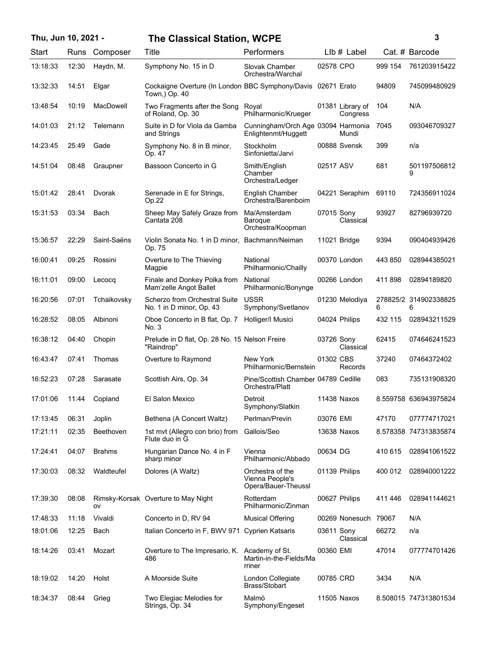## **Thu, Jun 10, 2021 - 3 The Classical Station, WCPE**

| Start    | Runs  | Composer         | Title                                                                         | Performers                                                 |                  | $Llb#$ Label   |         | Cat. # Barcode             |
|----------|-------|------------------|-------------------------------------------------------------------------------|------------------------------------------------------------|------------------|----------------|---------|----------------------------|
| 13:18:33 | 12:30 | Haydn, M.        | Symphony No. 15 in D                                                          | Slovak Chamber<br>Orchestra/Warchal                        | 02578 CPO        |                | 999 154 | 761203915422               |
| 13:32:33 | 14:51 | Elgar            | Cockaigne Overture (In London BBC Symphony/Davis 02671 Erato<br>Town,) Op. 40 |                                                            |                  |                | 94809   | 745099480929               |
| 13:48:54 | 10:19 | <b>MacDowell</b> | Two Fragments after the Song<br>of Roland, Op. 30                             | Royal<br>Philharmonic/Krueger                              | 01381 Library of | Congress       | 104     | N/A                        |
| 14:01:03 | 21:12 | Telemann         | Suite in D for Viola da Gamba<br>and Strings                                  | Cunningham/Orch Age 03094 Harmonia<br>Enlightenmt/Huggett  |                  | Mundi          | 7045    | 093046709327               |
| 14:23:45 | 25:49 | Gade             | Symphony No. 8 in B minor,<br>Op. 47                                          | Stockholm<br>Sinfonietta/Jarvi                             | 00888 Svensk     |                | 399     | n/a                        |
| 14:51:04 | 08:48 | Graupner         | Bassoon Concerto in G                                                         | Smith/English<br>Chamber<br>Orchestra/Ledger               | 02517 ASV        |                | 681     | 501197506812<br>9          |
| 15:01:42 | 28:41 | Dvorak           | Serenade in E for Strings,<br>Op.22                                           | English Chamber<br>Orchestra/Barenboim                     | 04221 Seraphim   |                | 69110   | 724356911024               |
| 15:31:53 | 03:34 | Bach             | Sheep May Safely Graze from<br>Cantata 208                                    | Ma/Amsterdam<br>Baroque<br>Orchestra/Koopman               | 07015 Sony       | Classical      | 93927   | 82796939720                |
| 15:36:57 | 22:29 | Saint-Saëns      | Violin Sonata No. 1 in D minor,<br>Op. 75                                     | Bachmann/Neiman                                            | 11021 Bridge     |                | 9394    | 090404939426               |
| 16:00:41 | 09:25 | Rossini          | Overture to The Thieving<br>Magpie                                            | National<br>Philharmonic/Chailly                           | 00370 London     |                | 443 850 | 028944385021               |
| 16:11:01 | 09:00 | Lecocq           | Finale and Donkey Polka from<br>Mam'zelle Angot Ballet                        | National<br>Philharmonic/Bonynge                           | 00266 London     |                | 411898  | 02894189820                |
| 16:20:56 | 07:01 | Tchaikovsky      | Scherzo from Orchestral Suite<br>No. 1 in D minor, Op. 43                     | <b>USSR</b><br>Symphony/Svetlanov                          | 01230 Melodiya   |                | 6       | 278825/2 314902338825<br>6 |
| 16:28:52 | 08:05 | Albinoni         | Oboe Concerto in B flat, Op. 7<br>No. 3                                       | Holliger/I Musici                                          | 04024 Philips    |                | 432 115 | 028943211529               |
| 16:38:12 | 04:40 | Chopin           | Prelude in D flat, Op. 28 No. 15 Nelson Freire<br>"Raindrop"                  |                                                            | 03726 Sony       | Classical      | 62415   | 074646241523               |
| 16:43:47 | 07:41 | Thomas           | Overture to Raymond                                                           | New York<br>Philharmonic/Bernstein                         | 01302 CBS        | Records        | 37240   | 07464372402                |
| 16:52:23 | 07:28 | Sarasate         | Scottish Airs, Op. 34                                                         | Pine/Scottish Chamber 04789 Cedille<br>Orchestra/Platt     |                  |                | 083     | 735131908320               |
| 17:01:06 | 11:44 | Copland          | El Salon Mexico                                                               | Detroit<br>Symphony/Slatkin                                | 11438 Naxos      |                |         | 8.559758 636943975824      |
| 17:13:45 | 06:31 | Joplin           | Bethena (A Concert Waltz)                                                     | Perlman/Previn                                             | 03076 EMI        |                | 47170   | 077774717021               |
| 17:21:11 | 02:35 | <b>Beethoven</b> | 1st mvt (Allegro con brio) from<br>Flute duo in G                             | Gallois/Seo                                                | 13638 Naxos      |                |         | 8.578358 747313835874      |
| 17:24:41 | 04:07 | <b>Brahms</b>    | Hungarian Dance No. 4 in F<br>sharp minor                                     | Vienna<br>Philharmonic/Abbado                              | 00634 DG         |                | 410 615 | 028941061522               |
| 17:30:03 | 08:32 | Waldteufel       | Dolores (A Waltz)                                                             | Orchestra of the<br>Vienna People's<br>Opera/Bauer-Theussl | 01139 Philips    |                | 400 012 | 028940001222               |
| 17:39:30 | 08:08 | ov               | Rimsky-Korsak Overture to May Night                                           | Rotterdam<br>Philharmonic/Zinman                           | 00627 Philips    |                | 411446  | 028941144621               |
| 17:48:33 | 11:18 | Vivaldi          | Concerto in D, RV 94                                                          | <b>Musical Offering</b>                                    |                  | 00269 Nonesuch | 79067   | N/A                        |
| 18:01:06 | 12:25 | Bach             | Italian Concerto in F, BWV 971                                                | <b>Cyprien Katsaris</b>                                    | 03611 Sony       | Classical      | 66272   | n/a                        |
| 18:14:26 | 03:41 | Mozart           | Overture to The Impresario, K.<br>486                                         | Academy of St.<br>Martin-in-the-Fields/Ma<br>rriner        | 00360 EMI        |                | 47014   | 077774701426               |
| 18:19:02 | 14:20 | Holst            | A Moorside Suite                                                              | London Collegiate<br>Brass/Stobart                         | 00785 CRD        |                | 3434    | N/A                        |
| 18:34:37 | 08:44 | Grieg            | Two Elegiac Melodies for<br>Strings, Op. 34                                   | Malmö<br>Symphony/Engeset                                  | 11505 Naxos      |                |         | 8.508015 747313801534      |